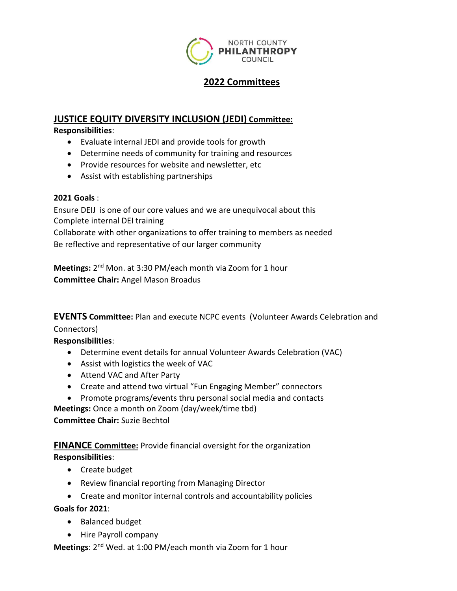

# **2022 Committees**

## **JUSTICE EQUITY DIVERSITY INCLUSION (JEDI) Committee:**

### **Responsibilities**:

- Evaluate internal JEDI and provide tools for growth
- Determine needs of community for training and resources
- Provide resources for website and newsletter, etc
- Assist with establishing partnerships

## **2021 Goals** :

Ensure DEIJ is one of our core values and we are unequivocal about this Complete internal DEI training

Collaborate with other organizations to offer training to members as needed Be reflective and representative of our larger community

**Meetings:** 2<sup>nd</sup> Mon. at 3:30 PM/each month via Zoom for 1 hour **Committee Chair:** Angel Mason Broadus

**EVENTS Committee:** Plan and execute NCPC events (Volunteer Awards Celebration and

## Connectors)

**Responsibilities**:

- Determine event details for annual Volunteer Awards Celebration (VAC)
- Assist with logistics the week of VAC
- Attend VAC and After Party
- Create and attend two virtual "Fun Engaging Member" connectors
- Promote programs/events thru personal social media and contacts **Meetings:** Once a month on Zoom (day/week/time tbd)

**Committee Chair:** Suzie Bechtol

**FINANCE Committee:** Provide financial oversight for the organization **Responsibilities**:

- Create budget
- Review financial reporting from Managing Director
- Create and monitor internal controls and accountability policies

**Goals for 2021**:

- Balanced budget
- Hire Payroll company

**Meetings**: 2<sup>nd</sup> Wed. at 1:00 PM/each month via Zoom for 1 hour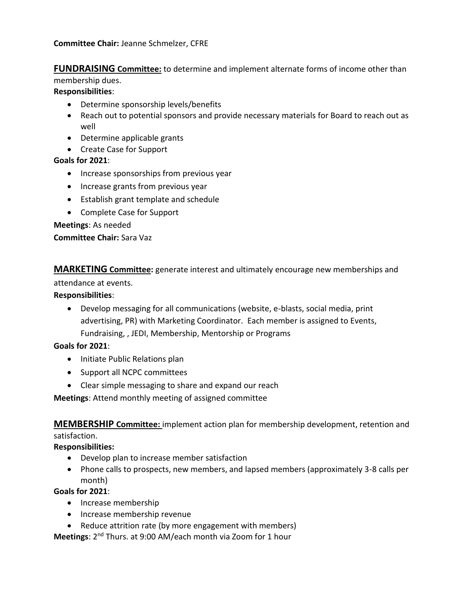**Committee Chair:** Jeanne Schmelzer, CFRE

**FUNDRAISING Committee:** to determine and implement alternate forms of income other than membership dues.

**Responsibilities**:

- Determine sponsorship levels/benefits
- Reach out to potential sponsors and provide necessary materials for Board to reach out as well
- Determine applicable grants
- Create Case for Support

**Goals for 2021**:

- Increase sponsorships from previous year
- Increase grants from previous year
- Establish grant template and schedule
- Complete Case for Support

**Meetings**: As needed

**Committee Chair:** Sara Vaz

**MARKETING Committee:** generate interest and ultimately encourage new memberships and

attendance at events.

**Responsibilities**:

 Develop messaging for all communications (website, e-blasts, social media, print advertising, PR) with Marketing Coordinator. Each member is assigned to Events, Fundraising, , JEDI, Membership, Mentorship or Programs

#### **Goals for 2021**:

- Initiate Public Relations plan
- Support all NCPC committees
- Clear simple messaging to share and expand our reach

**Meetings**: Attend monthly meeting of assigned committee

**MEMBERSHIP Committee:** implement action plan for membership development, retention and satisfaction.

**Responsibilities:**

- Develop plan to increase member satisfaction
- Phone calls to prospects, new members, and lapsed members (approximately 3-8 calls per month)

**Goals for 2021**:

- Increase membership
- Increase membership revenue
- Reduce attrition rate (by more engagement with members)

**Meetings**: 2<sup>nd</sup> Thurs. at 9:00 AM/each month via Zoom for 1 hour